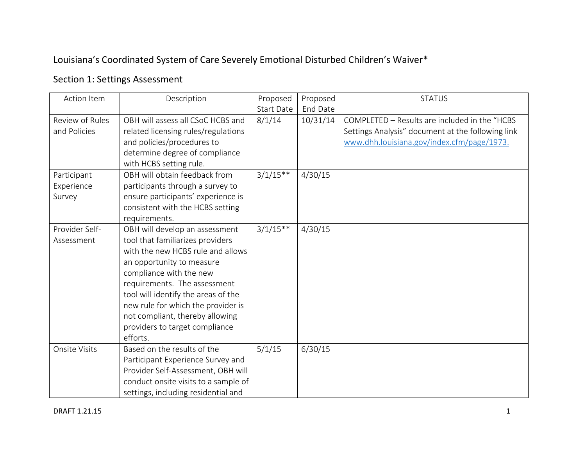## Louisiana's Coordinated System of Care Severely Emotional Disturbed Children's Waiver\*

## Section 1: Settings Assessment

| Action Item                         | Description                                                                                                                                                                                                                                                                                                                                                   | Proposed          | Proposed | <b>STATUS</b>                                                                                                                                    |
|-------------------------------------|---------------------------------------------------------------------------------------------------------------------------------------------------------------------------------------------------------------------------------------------------------------------------------------------------------------------------------------------------------------|-------------------|----------|--------------------------------------------------------------------------------------------------------------------------------------------------|
|                                     |                                                                                                                                                                                                                                                                                                                                                               | <b>Start Date</b> | End Date |                                                                                                                                                  |
| Review of Rules<br>and Policies     | OBH will assess all CSoC HCBS and<br>related licensing rules/regulations<br>and policies/procedures to<br>determine degree of compliance<br>with HCBS setting rule.                                                                                                                                                                                           | 8/1/14            | 10/31/14 | COMPLETED - Results are included in the "HCBS<br>Settings Analysis" document at the following link<br>www.dhh.louisiana.gov/index.cfm/page/1973. |
| Participant<br>Experience<br>Survey | OBH will obtain feedback from<br>participants through a survey to<br>ensure participants' experience is<br>consistent with the HCBS setting<br>requirements.                                                                                                                                                                                                  | $3/1/15**$        | 4/30/15  |                                                                                                                                                  |
| Provider Self-<br>Assessment        | OBH will develop an assessment<br>tool that familiarizes providers<br>with the new HCBS rule and allows<br>an opportunity to measure<br>compliance with the new<br>requirements. The assessment<br>tool will identify the areas of the<br>new rule for which the provider is<br>not compliant, thereby allowing<br>providers to target compliance<br>efforts. | $3/1/15**$        | 4/30/15  |                                                                                                                                                  |
| <b>Onsite Visits</b>                | Based on the results of the<br>Participant Experience Survey and<br>Provider Self-Assessment, OBH will<br>conduct onsite visits to a sample of<br>settings, including residential and                                                                                                                                                                         | 5/1/15            | 6/30/15  |                                                                                                                                                  |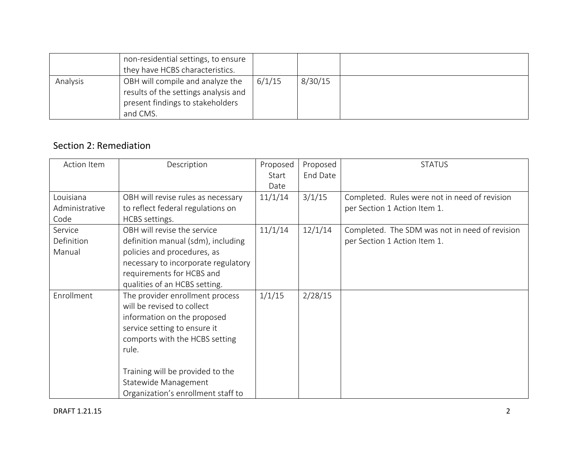|          | non-residential settings, to ensure<br>they have HCBS characteristics.                                                   |        |         |  |
|----------|--------------------------------------------------------------------------------------------------------------------------|--------|---------|--|
| Analysis | OBH will compile and analyze the<br>results of the settings analysis and<br>present findings to stakeholders<br>and CMS. | 6/1/15 | 8/30/15 |  |

## Section 2: Remediation

| Action Item       | Description                         | Proposed | Proposed | <b>STATUS</b>                                  |
|-------------------|-------------------------------------|----------|----------|------------------------------------------------|
|                   |                                     | Start    | End Date |                                                |
|                   |                                     | Date     |          |                                                |
| Louisiana         | OBH will revise rules as necessary  | 11/1/14  | 3/1/15   | Completed. Rules were not in need of revision  |
| Administrative    | to reflect federal regulations on   |          |          | per Section 1 Action Item 1.                   |
| Code              | HCBS settings.                      |          |          |                                                |
| Service           | OBH will revise the service         | 11/1/14  | 12/1/14  | Completed. The SDM was not in need of revision |
| <b>Definition</b> | definition manual (sdm), including  |          |          | per Section 1 Action Item 1.                   |
| Manual            | policies and procedures, as         |          |          |                                                |
|                   | necessary to incorporate regulatory |          |          |                                                |
|                   | requirements for HCBS and           |          |          |                                                |
|                   | qualities of an HCBS setting.       |          |          |                                                |
| Enrollment        | The provider enrollment process     | 1/1/15   | 2/28/15  |                                                |
|                   | will be revised to collect          |          |          |                                                |
|                   | information on the proposed         |          |          |                                                |
|                   | service setting to ensure it        |          |          |                                                |
|                   | comports with the HCBS setting      |          |          |                                                |
|                   | rule.                               |          |          |                                                |
|                   |                                     |          |          |                                                |
|                   | Training will be provided to the    |          |          |                                                |
|                   | Statewide Management                |          |          |                                                |
|                   | Organization's enrollment staff to  |          |          |                                                |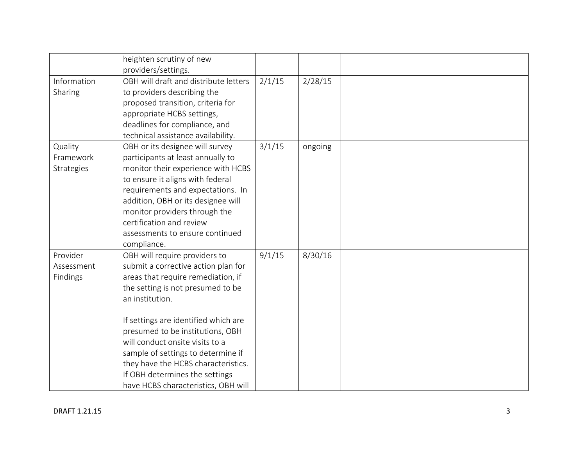|                                    | heighten scrutiny of new<br>providers/settings.                                                                                                                                                                                                                                                                                                                                                                                         |        |         |  |
|------------------------------------|-----------------------------------------------------------------------------------------------------------------------------------------------------------------------------------------------------------------------------------------------------------------------------------------------------------------------------------------------------------------------------------------------------------------------------------------|--------|---------|--|
| Information<br>Sharing             | OBH will draft and distribute letters<br>to providers describing the<br>proposed transition, criteria for<br>appropriate HCBS settings,<br>deadlines for compliance, and<br>technical assistance availability.                                                                                                                                                                                                                          | 2/1/15 | 2/28/15 |  |
| Quality<br>Framework<br>Strategies | OBH or its designee will survey<br>participants at least annually to<br>monitor their experience with HCBS<br>to ensure it aligns with federal<br>requirements and expectations. In<br>addition, OBH or its designee will<br>monitor providers through the<br>certification and review<br>assessments to ensure continued<br>compliance.                                                                                                | 3/1/15 | ongoing |  |
| Provider<br>Assessment<br>Findings | OBH will require providers to<br>submit a corrective action plan for<br>areas that require remediation, if<br>the setting is not presumed to be<br>an institution.<br>If settings are identified which are<br>presumed to be institutions, OBH<br>will conduct onsite visits to a<br>sample of settings to determine if<br>they have the HCBS characteristics.<br>If OBH determines the settings<br>have HCBS characteristics, OBH will | 9/1/15 | 8/30/16 |  |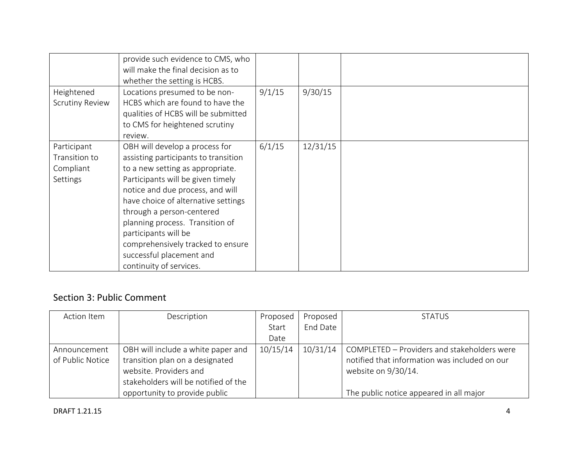|                                                              | provide such evidence to CMS, who<br>will make the final decision as to<br>whether the setting is HCBS.                                                                                                                                                                                                                                                                                                        |        |          |  |
|--------------------------------------------------------------|----------------------------------------------------------------------------------------------------------------------------------------------------------------------------------------------------------------------------------------------------------------------------------------------------------------------------------------------------------------------------------------------------------------|--------|----------|--|
| Heightened<br><b>Scrutiny Review</b>                         | Locations presumed to be non-<br>HCBS which are found to have the<br>qualities of HCBS will be submitted<br>to CMS for heightened scrutiny<br>review.                                                                                                                                                                                                                                                          | 9/1/15 | 9/30/15  |  |
| Participant<br>Transition to<br>Compliant<br><b>Settings</b> | OBH will develop a process for<br>assisting participants to transition<br>to a new setting as appropriate.<br>Participants will be given timely<br>notice and due process, and will<br>have choice of alternative settings<br>through a person-centered<br>planning process. Transition of<br>participants will be<br>comprehensively tracked to ensure<br>successful placement and<br>continuity of services. | 6/1/15 | 12/31/15 |  |

## Section 3: Public Comment

| Action Item      | Description                          | Proposed | Proposed | <b>STATUS</b>                                 |
|------------------|--------------------------------------|----------|----------|-----------------------------------------------|
|                  |                                      | Start    | End Date |                                               |
|                  |                                      | Date     |          |                                               |
| Announcement     | OBH will include a white paper and   | 10/15/14 | 10/31/14 | COMPLETED - Providers and stakeholders were   |
| of Public Notice | transition plan on a designated      |          |          | notified that information was included on our |
|                  | website. Providers and               |          |          | website on 9/30/14.                           |
|                  | stakeholders will be notified of the |          |          |                                               |
|                  | opportunity to provide public        |          |          | The public notice appeared in all major       |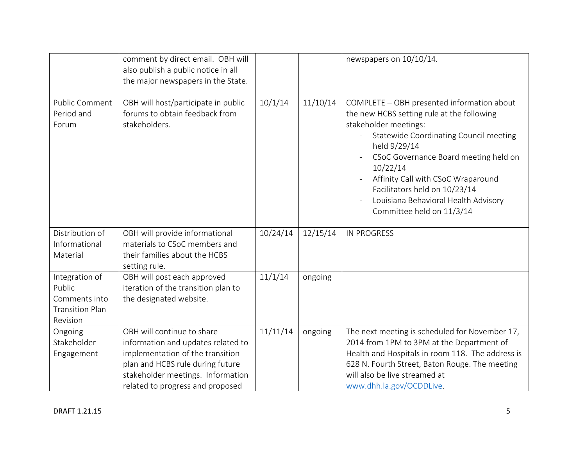|                                                                                 | comment by direct email. OBH will<br>also publish a public notice in all<br>the major newspapers in the State.                                                                                                    |          |          | newspapers on 10/10/14.                                                                                                                                                                                                                                                                                                                                                                                  |
|---------------------------------------------------------------------------------|-------------------------------------------------------------------------------------------------------------------------------------------------------------------------------------------------------------------|----------|----------|----------------------------------------------------------------------------------------------------------------------------------------------------------------------------------------------------------------------------------------------------------------------------------------------------------------------------------------------------------------------------------------------------------|
| Public Comment<br>Period and<br>Forum                                           | OBH will host/participate in public<br>forums to obtain feedback from<br>stakeholders.                                                                                                                            | 10/1/14  | 11/10/14 | COMPLETE - OBH presented information about<br>the new HCBS setting rule at the following<br>stakeholder meetings:<br>Statewide Coordinating Council meeting<br>$\overline{\phantom{a}}$<br>held 9/29/14<br>CSoC Governance Board meeting held on<br>10/22/14<br>Affinity Call with CSoC Wraparound<br>Facilitators held on 10/23/14<br>Louisiana Behavioral Health Advisory<br>Committee held on 11/3/14 |
| Distribution of<br>Informational<br>Material                                    | OBH will provide informational<br>materials to CSoC members and<br>their families about the HCBS<br>setting rule.                                                                                                 | 10/24/14 | 12/15/14 | <b>IN PROGRESS</b>                                                                                                                                                                                                                                                                                                                                                                                       |
| Integration of<br>Public<br>Comments into<br><b>Transition Plan</b><br>Revision | OBH will post each approved<br>iteration of the transition plan to<br>the designated website.                                                                                                                     | 11/1/14  | ongoing  |                                                                                                                                                                                                                                                                                                                                                                                                          |
| Ongoing<br>Stakeholder<br>Engagement                                            | OBH will continue to share<br>information and updates related to<br>implementation of the transition<br>plan and HCBS rule during future<br>stakeholder meetings. Information<br>related to progress and proposed | 11/11/14 | ongoing  | The next meeting is scheduled for November 17,<br>2014 from 1PM to 3PM at the Department of<br>Health and Hospitals in room 118. The address is<br>628 N. Fourth Street, Baton Rouge. The meeting<br>will also be live streamed at<br>www.dhh.la.gov/OCDDLive.                                                                                                                                           |